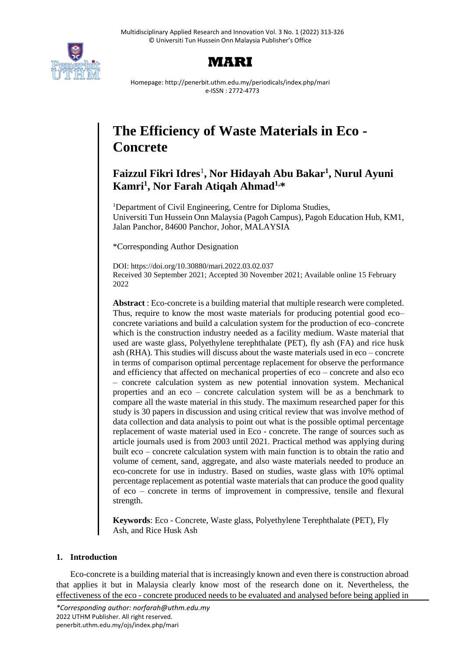



Homepage: http://penerbit.uthm.edu.my/periodicals/index.php/mari e-ISSN : 2772-4773

# **The Efficiency of Waste Materials in Eco - Concrete**

# **Faizzul Fikri Idres**<sup>1</sup> **, Nor Hidayah Abu Bakar<sup>1</sup> , Nurul Ayuni Kamri<sup>1</sup> , Nor Farah Atiqah Ahmad1,\***

<sup>1</sup>Department of Civil Engineering, Centre for Diploma Studies, Universiti Tun Hussein Onn Malaysia (Pagoh Campus), Pagoh Education Hub, KM1, Jalan Panchor, 84600 Panchor, Johor, MALAYSIA

\*Corresponding Author Designation

DOI: https://doi.org/10.30880/mari.2022.03.02.037 Received 30 September 2021; Accepted 30 November 2021; Available online 15 February 2022

**Abstract** : Eco-concrete is a building material that multiple research were completed. Thus, require to know the most waste materials for producing potential good eco– concrete variations and build a calculation system for the production of eco–concrete which is the construction industry needed as a facility medium. Waste material that used are waste glass, Polyethylene terephthalate (PET), fly ash (FA) and rice husk ash (RHA). This studies will discuss about the waste materials used in eco – concrete in terms of comparison optimal percentage replacement for observe the performance and efficiency that affected on mechanical properties of eco – concrete and also eco – concrete calculation system as new potential innovation system. Mechanical properties and an eco – concrete calculation system will be as a benchmark to compare all the waste material in this study. The maximum researched paper for this study is 30 papers in discussion and using critical review that was involve method of data collection and data analysis to point out what is the possible optimal percentage replacement of waste material used in Eco - concrete. The range of sources such as article journals used is from 2003 until 2021. Practical method was applying during built eco – concrete calculation system with main function is to obtain the ratio and volume of cement, sand, aggregate, and also waste materials needed to produce an eco-concrete for use in industry. Based on studies, waste glass with 10% optimal percentage replacement as potential waste materials that can produce the good quality of eco – concrete in terms of improvement in compressive, tensile and flexural strength.

**Keywords**: Eco - Concrete, Waste glass, Polyethylene Terephthalate (PET), Fly Ash, and Rice Husk Ash

# **1. Introduction**

Eco-concrete is a building material that is increasingly known and even there is construction abroad that applies it but in Malaysia clearly know most of the research done on it. Nevertheless, the effectiveness of the eco - concrete produced needs to be evaluated and analysed before being applied in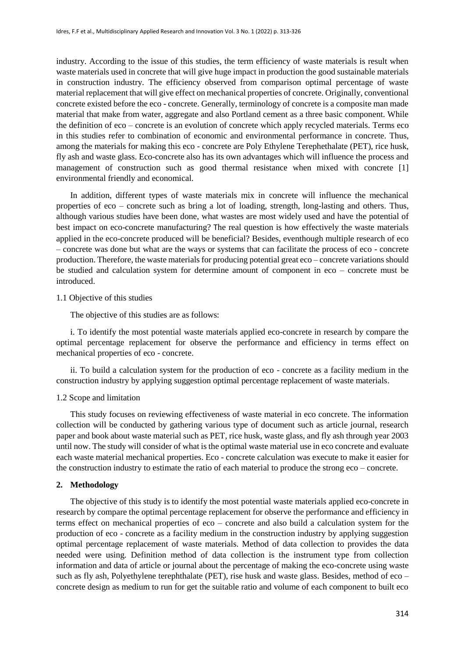industry. According to the issue of this studies, the term efficiency of waste materials is result when waste materials used in concrete that will give huge impact in production the good sustainable materials in construction industry. The efficiency observed from comparison optimal percentage of waste material replacement that will give effect on mechanical properties of concrete. Originally, conventional concrete existed before the eco - concrete. Generally, terminology of concrete is a composite man made material that make from water, aggregate and also Portland cement as a three basic component. While the definition of eco – concrete is an evolution of concrete which apply recycled materials. Terms eco in this studies refer to combination of economic and environmental performance in concrete. Thus, among the materials for making this eco - concrete are Poly Ethylene Terephethalate (PET), rice husk, fly ash and waste glass. Eco-concrete also has its own advantages which will influence the process and management of construction such as good thermal resistance when mixed with concrete [1] environmental friendly and economical.

In addition, different types of waste materials mix in concrete will influence the mechanical properties of eco – concrete such as bring a lot of loading, strength, long-lasting and others. Thus, although various studies have been done, what wastes are most widely used and have the potential of best impact on eco-concrete manufacturing? The real question is how effectively the waste materials applied in the eco-concrete produced will be beneficial? Besides, eventhough multiple research of eco – concrete was done but what are the ways or systems that can facilitate the process of eco - concrete production. Therefore, the waste materials for producing potential great eco – concrete variations should be studied and calculation system for determine amount of component in eco – concrete must be introduced.

#### 1.1 Objective of this studies

The objective of this studies are as follows:

i. To identify the most potential waste materials applied eco-concrete in research by compare the optimal percentage replacement for observe the performance and efficiency in terms effect on mechanical properties of eco - concrete.

ii. To build a calculation system for the production of eco - concrete as a facility medium in the construction industry by applying suggestion optimal percentage replacement of waste materials.

#### 1.2 Scope and limitation

This study focuses on reviewing effectiveness of waste material in eco concrete. The information collection will be conducted by gathering various type of document such as article journal, research paper and book about waste material such as PET, rice husk, waste glass, and fly ash through year 2003 until now. The study will consider of what is the optimal waste material use in eco concrete and evaluate each waste material mechanical properties. Eco - concrete calculation was execute to make it easier for the construction industry to estimate the ratio of each material to produce the strong eco – concrete.

#### **2. Methodology**

The objective of this study is to identify the most potential waste materials applied eco-concrete in research by compare the optimal percentage replacement for observe the performance and efficiency in terms effect on mechanical properties of eco – concrete and also build a calculation system for the production of eco - concrete as a facility medium in the construction industry by applying suggestion optimal percentage replacement of waste materials. Method of data collection to provides the data needed were using. Definition method of data collection is the instrument type from collection information and data of article or journal about the percentage of making the eco-concrete using waste such as fly ash, Polyethylene terephthalate (PET), rise husk and waste glass. Besides, method of eco – concrete design as medium to run for get the suitable ratio and volume of each component to built eco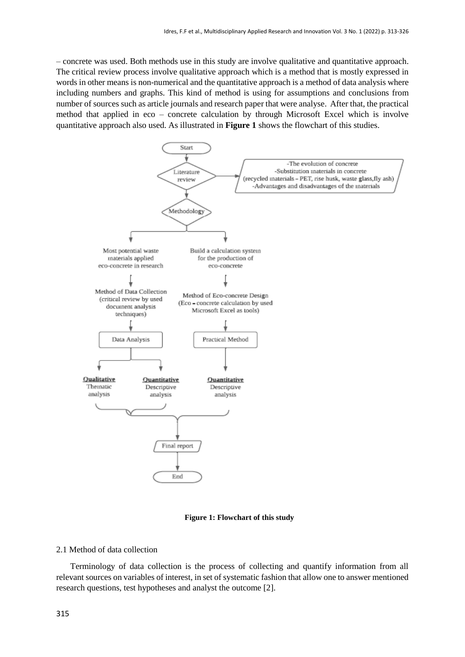– concrete was used. Both methods use in this study are involve qualitative and quantitative approach. The critical review process involve qualitative approach which is a method that is mostly expressed in words in other means is non-numerical and the quantitative approach is a method of data analysis where including numbers and graphs. This kind of method is using for assumptions and conclusions from number of sources such as article journals and research paper that were analyse. After that, the practical method that applied in eco – concrete calculation by through Microsoft Excel which is involve quantitative approach also used. As illustrated in **Figure 1** shows the flowchart of this studies.



**Figure 1: Flowchart of this study**

#### 2.1 Method of data collection

Terminology of data collection is the process of collecting and quantify information from all relevant sources on variables of interest, in set of systematic fashion that allow one to answer mentioned research questions, test hypotheses and analyst the outcome [2].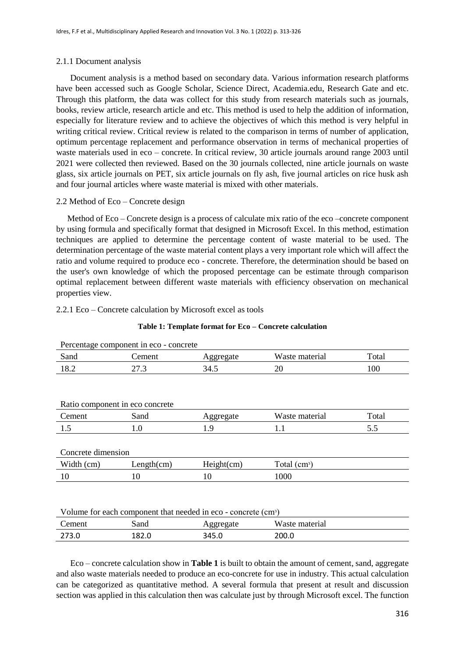# 2.1.1 Document analysis

Document analysis is a method based on secondary data. Various information research platforms have been accessed such as Google Scholar, Science Direct, Academia.edu, Research Gate and etc. Through this platform, the data was collect for this study from research materials such as journals, books, review article, research article and etc. This method is used to help the addition of information, especially for literature review and to achieve the objectives of which this method is very helpful in writing critical review. Critical review is related to the comparison in terms of number of application, optimum percentage replacement and performance observation in terms of mechanical properties of waste materials used in eco – concrete. In critical review, 30 article journals around range 2003 until 2021 were collected then reviewed. Based on the 30 journals collected, nine article journals on waste glass, six article journals on PET, six article journals on fly ash, five journal articles on rice husk ash and four journal articles where waste material is mixed with other materials.

# 2.2 Method of Eco – Concrete design

Method of Eco – Concrete design is a process of calculate mix ratio of the eco –concrete component by using formula and specifically format that designed in Microsoft Excel. In this method, estimation techniques are applied to determine the percentage content of waste material to be used. The determination percentage of the waste material content plays a very important role which will affect the ratio and volume required to produce eco - concrete. Therefore, the determination should be based on the user's own knowledge of which the proposed percentage can be estimate through comparison optimal replacement between different waste materials with efficiency observation on mechanical properties view.

# 2.2.1 Eco – Concrete calculation by Microsoft excel as tools

|  |  |  | Table 1: Template format for Eco - Concrete calculation |
|--|--|--|---------------------------------------------------------|
|--|--|--|---------------------------------------------------------|

Percentage component in eco - concrete

| Sand | ement |      | materiai<br>w aste                 | 'otal |
|------|-------|------|------------------------------------|-------|
| 18.2 | ر     | 34.J | $\overline{\mathcal{L}}\mathsf{U}$ | 100   |

| Sand               | Aggregate  |                |       |
|--------------------|------------|----------------|-------|
|                    |            | Waste material | Total |
| L.O                | 19         | 1.1            | 5.5   |
|                    |            |                |       |
| Concrete dimension |            |                |       |
| Length(cm)         | Height(cm) | Total $(cm^3)$ |       |
| 10                 | 10         | 1000           |       |
|                    |            |                |       |
|                    |            |                |       |

#### Volume for each component that needed in eco - concrete (cm<sup>3</sup>)

| 'emeni | Sand  |       | Waste<br>material |
|--------|-------|-------|-------------------|
| 273.0  | 182.0 | 345.0 | 200.0             |

Eco – concrete calculation show in **Table 1** is built to obtain the amount of cement, sand, aggregate and also waste materials needed to produce an eco-concrete for use in industry. This actual calculation can be categorized as quantitative method. A several formula that present at result and discussion section was applied in this calculation then was calculate just by through Microsoft excel. The function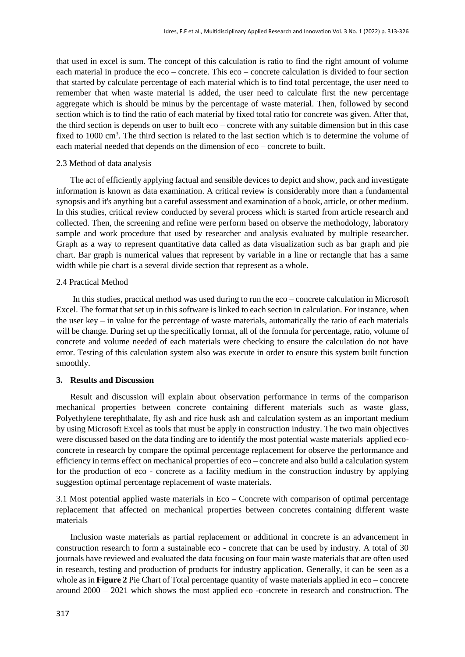that used in excel is sum. The concept of this calculation is ratio to find the right amount of volume each material in produce the eco – concrete. This eco – concrete calculation is divided to four section that started by calculate percentage of each material which is to find total percentage, the user need to remember that when waste material is added, the user need to calculate first the new percentage aggregate which is should be minus by the percentage of waste material. Then, followed by second section which is to find the ratio of each material by fixed total ratio for concrete was given. After that, the third section is depends on user to built eco – concrete with any suitable dimension but in this case fixed to 1000 cm<sup>3</sup>. The third section is related to the last section which is to determine the volume of each material needed that depends on the dimension of eco – concrete to built.

# 2.3 Method of data analysis

The act of efficiently applying factual and sensible devices to depict and show, pack and investigate information is known as data examination. A critical review is considerably more than a fundamental synopsis and it's anything but a careful assessment and examination of a book, article, or other medium. In this studies, critical review conducted by several process which is started from article research and collected. Then, the screening and refine were perform based on observe the methodology, laboratory sample and work procedure that used by researcher and analysis evaluated by multiple researcher. Graph as a way to represent quantitative data called as data visualization such as bar graph and pie chart. Bar graph is numerical values that represent by variable in a line or rectangle that has a same width while pie chart is a several divide section that represent as a whole.

# 2.4 Practical Method

In this studies, practical method was used during to run the eco – concrete calculation in Microsoft Excel. The format that set up in this software is linked to each section in calculation. For instance, when the user key – in value for the percentage of waste materials, automatically the ratio of each materials will be change. During set up the specifically format, all of the formula for percentage, ratio, volume of concrete and volume needed of each materials were checking to ensure the calculation do not have error. Testing of this calculation system also was execute in order to ensure this system built function smoothly.

# **3. Results and Discussion**

Result and discussion will explain about observation performance in terms of the comparison mechanical properties between concrete containing different materials such as waste glass, Polyethylene terephthalate, fly ash and rice husk ash and calculation system as an important medium by using Microsoft Excel as tools that must be apply in construction industry. The two main objectives were discussed based on the data finding are to identify the most potential waste materials applied ecoconcrete in research by compare the optimal percentage replacement for observe the performance and efficiency in terms effect on mechanical properties of eco – concrete and also build a calculation system for the production of eco - concrete as a facility medium in the construction industry by applying suggestion optimal percentage replacement of waste materials.

3.1 Most potential applied waste materials in Eco – Concrete with comparison of optimal percentage replacement that affected on mechanical properties between concretes containing different waste materials

Inclusion waste materials as partial replacement or additional in concrete is an advancement in construction research to form a sustainable eco - concrete that can be used by industry. A total of 30 journals have reviewed and evaluated the data focusing on four main waste materials that are often used in research, testing and production of products for industry application. Generally, it can be seen as a whole as in **Figure 2** Pie Chart of Total percentage quantity of waste materials applied in eco – concrete around 2000 – 2021 which shows the most applied eco -concrete in research and construction. The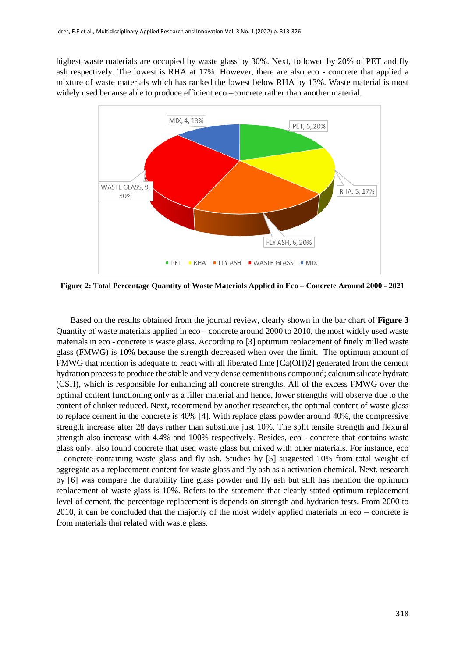highest waste materials are occupied by waste glass by 30%. Next, followed by 20% of PET and fly ash respectively. The lowest is RHA at 17%. However, there are also eco - concrete that applied a mixture of waste materials which has ranked the lowest below RHA by 13%. Waste material is most widely used because able to produce efficient eco –concrete rather than another material.



**Figure 2: Total Percentage Quantity of Waste Materials Applied in Eco – Concrete Around 2000 - 2021**

Based on the results obtained from the journal review, clearly shown in the bar chart of **Figure 3** Quantity of waste materials applied in eco – concrete around 2000 to 2010, the most widely used waste materials in eco - concrete is waste glass. According to [3] optimum replacement of finely milled waste glass (FMWG) is 10% because the strength decreased when over the limit. The optimum amount of FMWG that mention is adequate to react with all liberated lime [Ca(OH)2] generated from the cement hydration process to produce the stable and very dense cementitious compound; calcium silicate hydrate (CSH), which is responsible for enhancing all concrete strengths. All of the excess FMWG over the optimal content functioning only as a filler material and hence, lower strengths will observe due to the content of clinker reduced. Next, recommend by another researcher, the optimal content of waste glass to replace cement in the concrete is 40% [4]. With replace glass powder around 40%, the compressive strength increase after 28 days rather than substitute just 10%. The split tensile strength and flexural strength also increase with 4.4% and 100% respectively. Besides, eco - concrete that contains waste glass only, also found concrete that used waste glass but mixed with other materials. For instance, eco – concrete containing waste glass and fly ash. Studies by [5] suggested 10% from total weight of aggregate as a replacement content for waste glass and fly ash as a activation chemical. Next, research by [6] was compare the durability fine glass powder and fly ash but still has mention the optimum replacement of waste glass is 10%. Refers to the statement that clearly stated optimum replacement level of cement, the percentage replacement is depends on strength and hydration tests. From 2000 to 2010, it can be concluded that the majority of the most widely applied materials in eco – concrete is from materials that related with waste glass.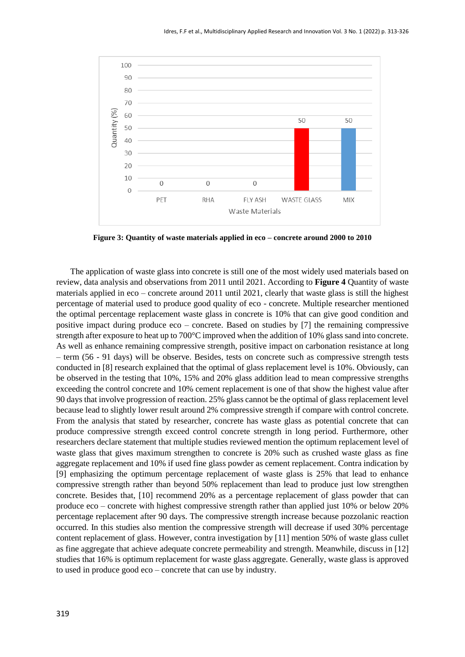

**Figure 3: Quantity of waste materials applied in eco – concrete around 2000 to 2010**

The application of waste glass into concrete is still one of the most widely used materials based on review, data analysis and observations from 2011 until 2021. According to **Figure 4** Quantity of waste materials applied in eco – concrete around 2011 until 2021, clearly that waste glass is still the highest percentage of material used to produce good quality of eco - concrete. Multiple researcher mentioned the optimal percentage replacement waste glass in concrete is 10% that can give good condition and positive impact during produce eco – concrete. Based on studies by [7] the remaining compressive strength after exposure to heat up to 700°C improved when the addition of 10% glass sand into concrete. As well as enhance remaining compressive strength, positive impact on carbonation resistance at long – term (56 - 91 days) will be observe. Besides, tests on concrete such as compressive strength tests conducted in [8] research explained that the optimal of glass replacement level is 10%. Obviously, can be observed in the testing that 10%, 15% and 20% glass addition lead to mean compressive strengths exceeding the control concrete and 10% cement replacement is one of that show the highest value after 90 days that involve progression of reaction. 25% glass cannot be the optimal of glass replacement level because lead to slightly lower result around 2% compressive strength if compare with control concrete. From the analysis that stated by researcher, concrete has waste glass as potential concrete that can produce compressive strength exceed control concrete strength in long period. Furthermore, other researchers declare statement that multiple studies reviewed mention the optimum replacement level of waste glass that gives maximum strengthen to concrete is 20% such as crushed waste glass as fine aggregate replacement and 10% if used fine glass powder as cement replacement. Contra indication by [9] emphasizing the optimum percentage replacement of waste glass is 25% that lead to enhance compressive strength rather than beyond 50% replacement than lead to produce just low strengthen concrete. Besides that, [10] recommend 20% as a percentage replacement of glass powder that can produce eco – concrete with highest compressive strength rather than applied just 10% or below 20% percentage replacement after 90 days. The compressive strength increase because pozzolanic reaction occurred. In this studies also mention the compressive strength will decrease if used 30% percentage content replacement of glass. However, contra investigation by [11] mention 50% of waste glass cullet as fine aggregate that achieve adequate concrete permeability and strength. Meanwhile, discuss in [12] studies that 16% is optimum replacement for waste glass aggregate. Generally, waste glass is approved to used in produce good eco – concrete that can use by industry.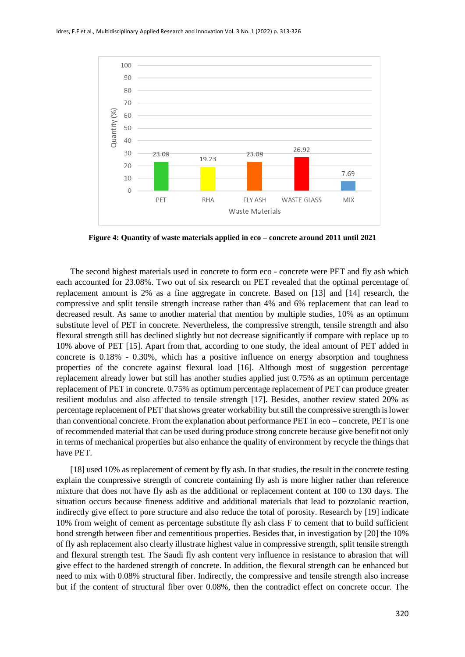

**Figure 4: Quantity of waste materials applied in eco – concrete around 2011 until 2021**

The second highest materials used in concrete to form eco - concrete were PET and fly ash which each accounted for 23.08%. Two out of six research on PET revealed that the optimal percentage of replacement amount is 2% as a fine aggregate in concrete. Based on [13] and [14] research, the compressive and split tensile strength increase rather than 4% and 6% replacement that can lead to decreased result. As same to another material that mention by multiple studies, 10% as an optimum substitute level of PET in concrete. Nevertheless, the compressive strength, tensile strength and also flexural strength still has declined slightly but not decrease significantly if compare with replace up to 10% above of PET [15]. Apart from that, according to one study, the ideal amount of PET added in concrete is 0.18% - 0.30%, which has a positive influence on energy absorption and toughness properties of the concrete against flexural load [16]. Although most of suggestion percentage replacement already lower but still has another studies applied just 0.75% as an optimum percentage replacement of PET in concrete. 0.75% as optimum percentage replacement of PET can produce greater resilient modulus and also affected to tensile strength [17]. Besides, another review stated 20% as percentage replacement of PET that shows greater workability but still the compressive strength is lower than conventional concrete. From the explanation about performance PET in eco – concrete, PET is one of recommended material that can be used during produce strong concrete because give benefit not only in terms of mechanical properties but also enhance the quality of environment by recycle the things that have PET.

[18] used 10% as replacement of cement by fly ash. In that studies, the result in the concrete testing explain the compressive strength of concrete containing fly ash is more higher rather than reference mixture that does not have fly ash as the additional or replacement content at 100 to 130 days. The situation occurs because fineness additive and additional materials that lead to pozzolanic reaction, indirectly give effect to pore structure and also reduce the total of porosity. Research by [19] indicate 10% from weight of cement as percentage substitute fly ash class F to cement that to build sufficient bond strength between fiber and cementitious properties. Besides that, in investigation by [20] the 10% of fly ash replacement also clearly illustrate highest value in compressive strength, split tensile strength and flexural strength test. The Saudi fly ash content very influence in resistance to abrasion that will give effect to the hardened strength of concrete. In addition, the flexural strength can be enhanced but need to mix with 0.08% structural fiber. Indirectly, the compressive and tensile strength also increase but if the content of structural fiber over 0.08%, then the contradict effect on concrete occur. The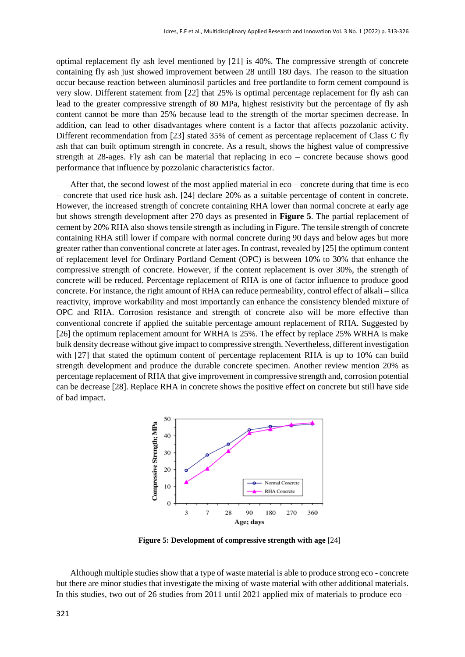optimal replacement fly ash level mentioned by [21] is 40%. The compressive strength of concrete containing fly ash just showed improvement between 28 untill 180 days. The reason to the situation occur because reaction between aluminosil particles and free portlandite to form cement compound is very slow. Different statement from [22] that 25% is optimal percentage replacement for fly ash can lead to the greater compressive strength of 80 MPa, highest resistivity but the percentage of fly ash content cannot be more than 25% because lead to the strength of the mortar specimen decrease. In addition, can lead to other disadvantages where content is a factor that affects pozzolanic activity. Different recommendation from [23] stated 35% of cement as percentage replacement of Class C fly ash that can built optimum strength in concrete. As a result, shows the highest value of compressive strength at 28-ages. Fly ash can be material that replacing in eco – concrete because shows good performance that influence by pozzolanic characteristics factor.

After that, the second lowest of the most applied material in eco – concrete during that time is eco – concrete that used rice husk ash. [24] declare 20% as a suitable percentage of content in concrete. However, the increased strength of concrete containing RHA lower than normal concrete at early age but shows strength development after 270 days as presented in **Figure 5**. The partial replacement of cement by 20% RHA also shows tensile strength as including in Figure. The tensile strength of concrete containing RHA still lower if compare with normal concrete during 90 days and below ages but more greater rather than conventional concrete at later ages. In contrast, revealed by [25] the optimum content of replacement level for Ordinary Portland Cement (OPC) is between 10% to 30% that enhance the compressive strength of concrete. However, if the content replacement is over 30%, the strength of concrete will be reduced. Percentage replacement of RHA is one of factor influence to produce good concrete. For instance, the right amount of RHA can reduce permeability, control effect of alkali – silica reactivity, improve workability and most importantly can enhance the consistency blended mixture of OPC and RHA. Corrosion resistance and strength of concrete also will be more effective than conventional concrete if applied the suitable percentage amount replacement of RHA. Suggested by [26] the optimum replacement amount for WRHA is 25%. The effect by replace 25% WRHA is make bulk density decrease without give impact to compressive strength. Nevertheless, different investigation with [27] that stated the optimum content of percentage replacement RHA is up to 10% can build strength development and produce the durable concrete specimen. Another review mention 20% as percentage replacement of RHA that give improvement in compressive strength and, corrosion potential can be decrease [28]. Replace RHA in concrete shows the positive effect on concrete but still have side of bad impact.



**Figure 5: Development of compressive strength with age** [24]

Although multiple studies show that a type of waste material is able to produce strong eco - concrete but there are minor studies that investigate the mixing of waste material with other additional materials. In this studies, two out of 26 studies from 2011 until 2021 applied mix of materials to produce eco –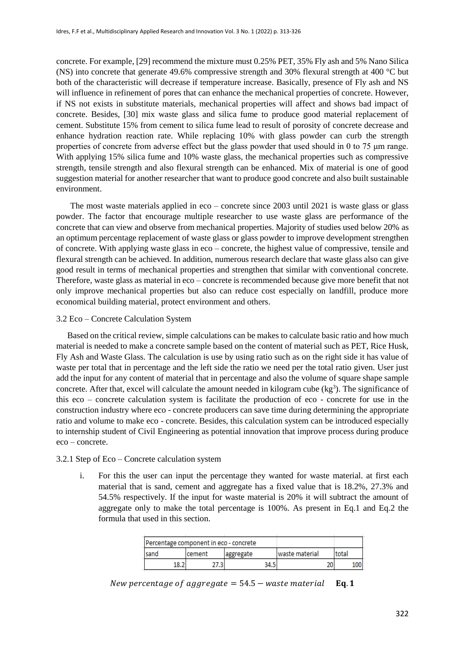concrete. For example, [29] recommend the mixture must 0.25% PET, 35% Fly ash and 5% Nano Silica (NS) into concrete that generate 49.6% compressive strength and 30% flexural strength at 400 °C but both of the characteristic will decrease if temperature increase. Basically, presence of Fly ash and NS will influence in refinement of pores that can enhance the mechanical properties of concrete. However, if NS not exists in substitute materials, mechanical properties will affect and shows bad impact of concrete. Besides, [30] mix waste glass and silica fume to produce good material replacement of cement. Substitute 15% from cement to silica fume lead to result of porosity of concrete decrease and enhance hydration reaction rate. While replacing 10% with glass powder can curb the strength properties of concrete from adverse effect but the glass powder that used should in 0 to 75 μm range. With applying 15% silica fume and 10% waste glass, the mechanical properties such as compressive strength, tensile strength and also flexural strength can be enhanced. Mix of material is one of good suggestion material for another researcher that want to produce good concrete and also built sustainable environment.

The most waste materials applied in eco – concrete since 2003 until 2021 is waste glass or glass powder. The factor that encourage multiple researcher to use waste glass are performance of the concrete that can view and observe from mechanical properties. Majority of studies used below 20% as an optimum percentage replacement of waste glass or glass powder to improve development strengthen of concrete. With applying waste glass in eco – concrete, the highest value of compressive, tensile and flexural strength can be achieved. In addition, numerous research declare that waste glass also can give good result in terms of mechanical properties and strengthen that similar with conventional concrete. Therefore, waste glass as material in eco – concrete is recommended because give more benefit that not only improve mechanical properties but also can reduce cost especially on landfill, produce more economical building material, protect environment and others.

# 3.2 Eco – Concrete Calculation System

Based on the critical review, simple calculations can be makes to calculate basic ratio and how much material is needed to make a concrete sample based on the content of material such as PET, Rice Husk, Fly Ash and Waste Glass. The calculation is use by using ratio such as on the right side it has value of waste per total that in percentage and the left side the ratio we need per the total ratio given. User just add the input for any content of material that in percentage and also the volume of square shape sample concrete. After that, excel will calculate the amount needed in kilogram cube  $(kg<sup>3</sup>)$ . The significance of this eco – concrete calculation system is facilitate the production of eco - concrete for use in the construction industry where eco - concrete producers can save time during determining the appropriate ratio and volume to make eco - concrete. Besides, this calculation system can be introduced especially to internship student of Civil Engineering as potential innovation that improve process during produce eco – concrete.

# 3.2.1 Step of Eco – Concrete calculation system

i. For this the user can input the percentage they wanted for waste material. at first each material that is sand, cement and aggregate has a fixed value that is 18.2%, 27.3% and 54.5% respectively. If the input for waste material is 20% it will subtract the amount of aggregate only to make the total percentage is 100%. As present in Eq.1 and Eq.2 the formula that used in this section.

| Percentage component in eco - concrete |         |            |                |              |      |
|----------------------------------------|---------|------------|----------------|--------------|------|
| Isand                                  | Icement | laggregate | waste material | <b>total</b> |      |
| 18.2                                   | 27.3    | 34.5       | 20             |              | LOOI |

New percentage of aggregate =  $54.5 -$  waste material Eq. 1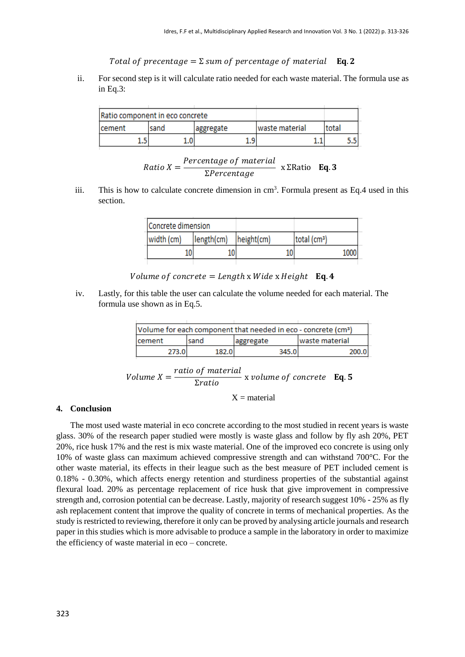Total of precentage =  $\Sigma$  sum of percentage of material **Eq. 2** 

ii. For second step is it will calculate ratio needed for each waste material. The formula use as in Eq.3:

| Ratio component in eco concrete |       |           |                |       |  |
|---------------------------------|-------|-----------|----------------|-------|--|
| <b>cement</b>                   | Isand | aggregate | waste material | total |  |
|                                 |       | ۰         |                |       |  |

| $Ratio X =$ | Percentage of material | $x \Sigma$ Ratio Eq. 3 |  |
|-------------|------------------------|------------------------|--|
|             | $\Sigma Percentage$    |                        |  |

iii. This is how to calculate concrete dimension in  $cm<sup>3</sup>$ . Formula present as Eq.4 used in this section.

| Concrete dimension |            |            |                          |
|--------------------|------------|------------|--------------------------|
| width (cm)         | length(cm) | height(cm) | total (cm <sup>3</sup> ) |
|                    | 10         |            | 1000                     |
|                    |            |            |                          |

# Volume of concrete = Length x Wide x Height  $Eq. 4$

iv. Lastly, for this table the user can calculate the volume needed for each material. The formula use shown as in Eq.5.

| Volume for each component that needed in eco - concrete (cm <sup>3</sup> ) |       |            |                 |
|----------------------------------------------------------------------------|-------|------------|-----------------|
| cement                                                                     | sand  | laggregate | Iwaste material |
| 273 G                                                                      | 182.0 | 345.0      |                 |
|                                                                            |       |            |                 |

Volume 
$$
X = \frac{ratio\ of\ material}{2ratio}
$$
 x volume of concrete **Eq. 5**

 $X = material$ 

# **4. Conclusion**

The most used waste material in eco concrete according to the most studied in recent years is waste glass. 30% of the research paper studied were mostly is waste glass and follow by fly ash 20%, PET 20%, rice husk 17% and the rest is mix waste material. One of the improved eco concrete is using only 10% of waste glass can maximum achieved compressive strength and can withstand 700°C. For the other waste material, its effects in their league such as the best measure of PET included cement is 0.18% - 0.30%, which affects energy retention and sturdiness properties of the substantial against flexural load. 20% as percentage replacement of rice husk that give improvement in compressive strength and, corrosion potential can be decrease. Lastly, majority of research suggest 10% - 25% as fly ash replacement content that improve the quality of concrete in terms of mechanical properties. As the study is restricted to reviewing, therefore it only can be proved by analysing article journals and research paper in this studies which is more advisable to produce a sample in the laboratory in order to maximize the efficiency of waste material in eco – concrete.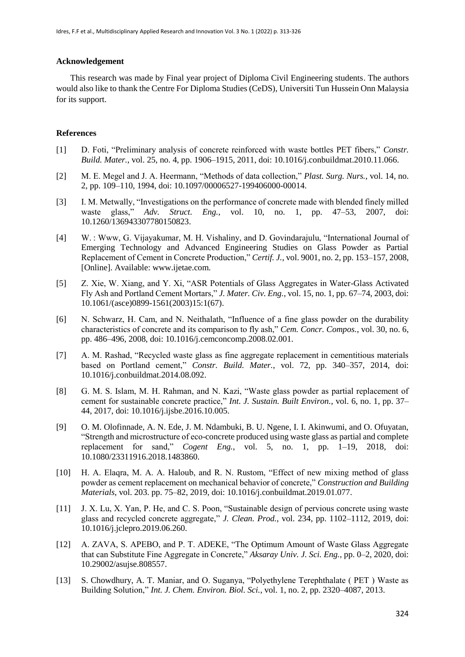#### **Acknowledgement**

This research was made by Final year project of Diploma Civil Engineering students. The authors would also like to thank the Centre For Diploma Studies (CeDS), Universiti Tun Hussein Onn Malaysia for its support.

#### **References**

- [1] D. Foti, "Preliminary analysis of concrete reinforced with waste bottles PET fibers," *Constr. Build. Mater.*, vol. 25, no. 4, pp. 1906–1915, 2011, doi: 10.1016/j.conbuildmat.2010.11.066.
- [2] M. E. Megel and J. A. Heermann, "Methods of data collection," *Plast. Surg. Nurs.*, vol. 14, no. 2, pp. 109–110, 1994, doi: 10.1097/00006527-199406000-00014.
- [3] I. M. Metwally, "Investigations on the performance of concrete made with blended finely milled waste glass," *Adv. Struct. Eng.*, vol. 10, no. 1, pp. 47–53, 2007, doi: 10.1260/136943307780150823.
- [4] W. : Www, G. Vijayakumar, M. H. Vishaliny, and D. Govindarajulu, "International Journal of Emerging Technology and Advanced Engineering Studies on Glass Powder as Partial Replacement of Cement in Concrete Production," *Certif. J.*, vol. 9001, no. 2, pp. 153–157, 2008, [Online]. Available: www.ijetae.com.
- [5] Z. Xie, W. Xiang, and Y. Xi, "ASR Potentials of Glass Aggregates in Water-Glass Activated Fly Ash and Portland Cement Mortars," *J. Mater. Civ. Eng.*, vol. 15, no. 1, pp. 67–74, 2003, doi: 10.1061/(asce)0899-1561(2003)15:1(67).
- [6] N. Schwarz, H. Cam, and N. Neithalath, "Influence of a fine glass powder on the durability characteristics of concrete and its comparison to fly ash," *Cem. Concr. Compos.*, vol. 30, no. 6, pp. 486–496, 2008, doi: 10.1016/j.cemconcomp.2008.02.001.
- [7] A. M. Rashad, "Recycled waste glass as fine aggregate replacement in cementitious materials based on Portland cement," *Constr. Build. Mater.*, vol. 72, pp. 340–357, 2014, doi: 10.1016/j.conbuildmat.2014.08.092.
- [8] G. M. S. Islam, M. H. Rahman, and N. Kazi, "Waste glass powder as partial replacement of cement for sustainable concrete practice," *Int. J. Sustain. Built Environ.*, vol. 6, no. 1, pp. 37– 44, 2017, doi: 10.1016/j.ijsbe.2016.10.005.
- [9] O. M. Olofinnade, A. N. Ede, J. M. Ndambuki, B. U. Ngene, I. I. Akinwumi, and O. Ofuyatan, "Strength and microstructure of eco-concrete produced using waste glass as partial and complete replacement for sand," *Cogent Eng.*, vol. 5, no. 1, pp. 1–19, 2018, doi: 10.1080/23311916.2018.1483860.
- [10] H. A. Elaqra, M. A. A. Haloub, and R. N. Rustom, "Effect of new mixing method of glass powder as cement replacement on mechanical behavior of concrete," *Construction and Building Materials*, vol. 203. pp. 75–82, 2019, doi: 10.1016/j.conbuildmat.2019.01.077.
- [11] J. X. Lu, X. Yan, P. He, and C. S. Poon, "Sustainable design of pervious concrete using waste glass and recycled concrete aggregate," *J. Clean. Prod.*, vol. 234, pp. 1102–1112, 2019, doi: 10.1016/j.jclepro.2019.06.260.
- [12] A. ZAVA, S. APEBO, and P. T. ADEKE, "The Optimum Amount of Waste Glass Aggregate that can Substitute Fine Aggregate in Concrete," *Aksaray Univ. J. Sci. Eng.*, pp. 0–2, 2020, doi: 10.29002/asujse.808557.
- [13] S. Chowdhury, A. T. Maniar, and O. Suganya, "Polyethylene Terephthalate ( PET ) Waste as Building Solution," *Int. J. Chem. Environ. Biol. Sci.*, vol. 1, no. 2, pp. 2320–4087, 2013.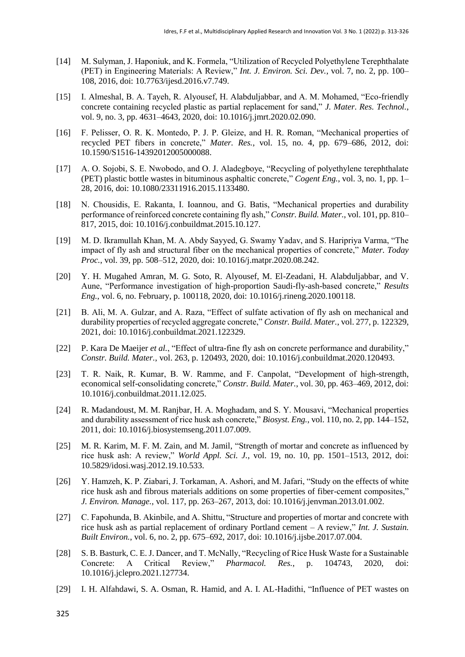- [14] M. Sulyman, J. Haponiuk, and K. Formela, "Utilization of Recycled Polyethylene Terephthalate (PET) in Engineering Materials: A Review," *Int. J. Environ. Sci. Dev.*, vol. 7, no. 2, pp. 100– 108, 2016, doi: 10.7763/ijesd.2016.v7.749.
- [15] I. Almeshal, B. A. Tayeh, R. Alyousef, H. Alabduljabbar, and A. M. Mohamed, "Eco-friendly concrete containing recycled plastic as partial replacement for sand," *J. Mater. Res. Technol.*, vol. 9, no. 3, pp. 4631–4643, 2020, doi: 10.1016/j.jmrt.2020.02.090.
- [16] F. Pelisser, O. R. K. Montedo, P. J. P. Gleize, and H. R. Roman, "Mechanical properties of recycled PET fibers in concrete," *Mater. Res.*, vol. 15, no. 4, pp. 679–686, 2012, doi: 10.1590/S1516-14392012005000088.
- [17] A. O. Sojobi, S. E. Nwobodo, and O. J. Aladegboye, "Recycling of polyethylene terephthalate (PET) plastic bottle wastes in bituminous asphaltic concrete," *Cogent Eng.*, vol. 3, no. 1, pp. 1– 28, 2016, doi: 10.1080/23311916.2015.1133480.
- [18] N. Chousidis, E. Rakanta, I. Ioannou, and G. Batis, "Mechanical properties and durability performance of reinforced concrete containing fly ash," *Constr. Build. Mater.*, vol. 101, pp. 810– 817, 2015, doi: 10.1016/j.conbuildmat.2015.10.127.
- [19] M. D. Ikramullah Khan, M. A. Abdy Sayyed, G. Swamy Yadav, and S. Haripriya Varma, "The impact of fly ash and structural fiber on the mechanical properties of concrete," *Mater. Today Proc.*, vol. 39, pp. 508–512, 2020, doi: 10.1016/j.matpr.2020.08.242.
- [20] Y. H. Mugahed Amran, M. G. Soto, R. Alyousef, M. El-Zeadani, H. Alabduljabbar, and V. Aune, "Performance investigation of high-proportion Saudi-fly-ash-based concrete," *Results Eng.*, vol. 6, no. February, p. 100118, 2020, doi: 10.1016/j.rineng.2020.100118.
- [21] B. Ali, M. A. Gulzar, and A. Raza, "Effect of sulfate activation of fly ash on mechanical and durability properties of recycled aggregate concrete," *Constr. Build. Mater.*, vol. 277, p. 122329, 2021, doi: 10.1016/j.conbuildmat.2021.122329.
- [22] P. Kara De Maeijer *et al.*, "Effect of ultra-fine fly ash on concrete performance and durability," *Constr. Build. Mater.*, vol. 263, p. 120493, 2020, doi: 10.1016/j.conbuildmat.2020.120493.
- [23] T. R. Naik, R. Kumar, B. W. Ramme, and F. Canpolat, "Development of high-strength, economical self-consolidating concrete," *Constr. Build. Mater.*, vol. 30, pp. 463–469, 2012, doi: 10.1016/j.conbuildmat.2011.12.025.
- [24] R. Madandoust, M. M. Ranjbar, H. A. Moghadam, and S. Y. Mousavi, "Mechanical properties and durability assessment of rice husk ash concrete," *Biosyst. Eng.*, vol. 110, no. 2, pp. 144–152, 2011, doi: 10.1016/j.biosystemseng.2011.07.009.
- [25] M. R. Karim, M. F. M. Zain, and M. Jamil, "Strength of mortar and concrete as influenced by rice husk ash: A review," *World Appl. Sci. J.*, vol. 19, no. 10, pp. 1501–1513, 2012, doi: 10.5829/idosi.wasj.2012.19.10.533.
- [26] Y. Hamzeh, K. P. Ziabari, J. Torkaman, A. Ashori, and M. Jafari, "Study on the effects of white rice husk ash and fibrous materials additions on some properties of fiber-cement composites," *J. Environ. Manage.*, vol. 117, pp. 263–267, 2013, doi: 10.1016/j.jenvman.2013.01.002.
- [27] C. Fapohunda, B. Akinbile, and A. Shittu, "Structure and properties of mortar and concrete with rice husk ash as partial replacement of ordinary Portland cement – A review," *Int. J. Sustain. Built Environ.*, vol. 6, no. 2, pp. 675–692, 2017, doi: 10.1016/j.ijsbe.2017.07.004.
- [28] S. B. Basturk, C. E. J. Dancer, and T. McNally, "Recycling of Rice Husk Waste for a Sustainable Concrete: A Critical Review," *Pharmacol. Res.*, p. 104743, 2020, doi: 10.1016/j.jclepro.2021.127734.
- [29] I. H. Alfahdawi, S. A. Osman, R. Hamid, and A. I. AL-Hadithi, "Influence of PET wastes on